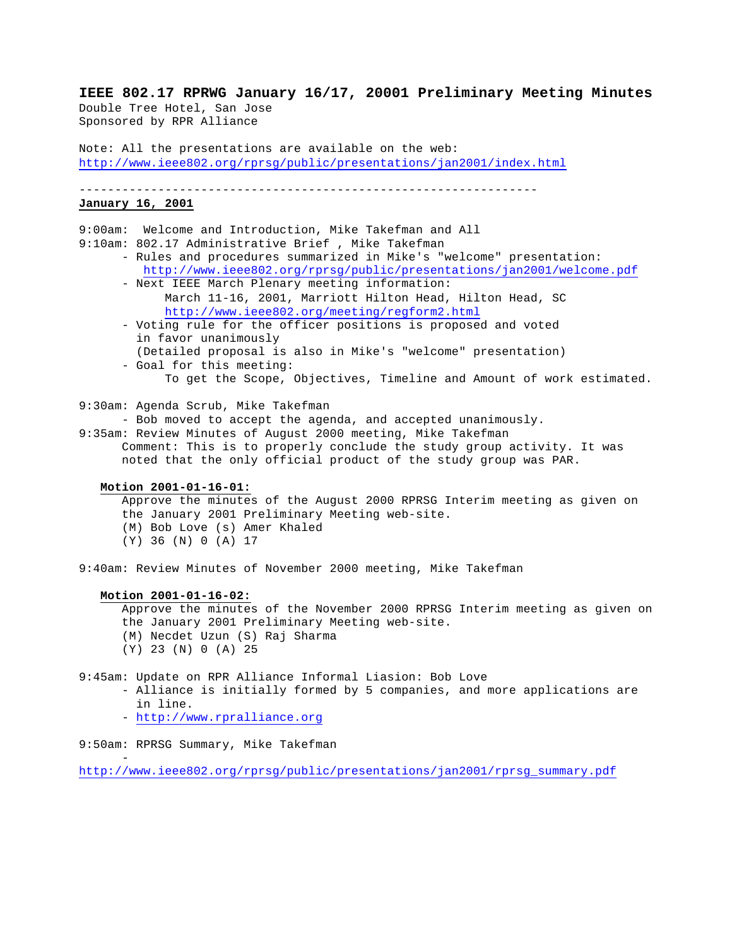**IEEE 802.17 RPRWG January 16/17, 20001 Preliminary Meeting Minutes** Double Tree Hotel, San Jose Sponsored by RPR Alliance

Note: All the presentations are available on the web: http://www.ieee802.org/rprsg/public/presentations/jan2001/index.html

----------------------------------------------------------------

# **January 16, 2001**

9:00am: Welcome and Introduction, Mike Takefman and All 9:10am: 802.17 Administrative Brief , Mike Takefman - Rules and procedures summarized in Mike's "welcome" presentation: http://www.ieee802.org/rprsg/public/presentations/jan2001/welcome.pdf - Next IEEE March Plenary meeting information: March 11-16, 2001, Marriott Hilton Head, Hilton Head, SC http://www.ieee802.org/meeting/regform2.html - Voting rule for the officer positions is proposed and voted in favor unanimously (Detailed proposal is also in Mike's "welcome" presentation) - Goal for this meeting: To get the Scope, Objectives, Timeline and Amount of work estimated. 9:30am: Agenda Scrub, Mike Takefman - Bob moved to accept the agenda, and accepted unanimously. 9:35am: Review Minutes of August 2000 meeting, Mike Takefman Comment: This is to properly conclude the study group activity. It was noted that the only official product of the study group was PAR. **Motion 2001-01-16-01:** Approve the minutes of the August 2000 RPRSG Interim meeting as given on the January 2001 Preliminary Meeting web-site. (M) Bob Love (s) Amer Khaled (Y) 36 (N) 0 (A) 17 9:40am: Review Minutes of November 2000 meeting, Mike Takefman **Motion 2001-01-16-02:** Approve the minutes of the November 2000 RPRSG Interim meeting as given on the January 2001 Preliminary Meeting web-site. (M) Necdet Uzun (S) Raj Sharma (Y) 23 (N) 0 (A) 25 9:45am: Update on RPR Alliance Informal Liasion: Bob Love - Alliance is initially formed by 5 companies, and more applications are in line. - http://www.rpralliance.org 9:50am: RPRSG Summary, Mike Takefman -

http://www.ieee802.org/rprsg/public/presentations/jan2001/rprsg\_summary.pdf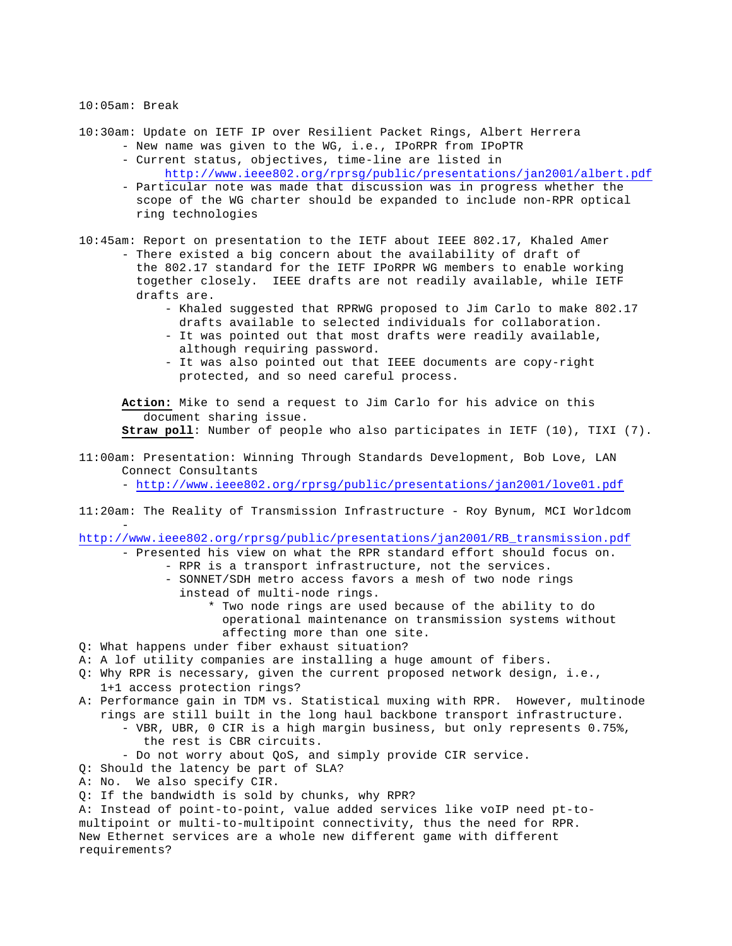#### 10:05am: Break

10:30am: Update on IETF IP over Resilient Packet Rings, Albert Herrera - New name was given to the WG, i.e., IPoRPR from IPoPTR

- Current status, objectives, time-line are listed in http://www.ieee802.org/rprsg/public/presentations/jan2001/albert.pdf
- Particular note was made that discussion was in progress whether the scope of the WG charter should be expanded to include non-RPR optical ring technologies

10:45am: Report on presentation to the IETF about IEEE 802.17, Khaled Amer - There existed a big concern about the availability of draft of the 802.17 standard for the IETF IPoRPR WG members to enable working together closely. IEEE drafts are not readily available, while IETF drafts are.

- Khaled suggested that RPRWG proposed to Jim Carlo to make 802.17 drafts available to selected individuals for collaboration.
- It was pointed out that most drafts were readily available, although requiring password.
- It was also pointed out that IEEE documents are copy-right protected, and so need careful process.

**Action:** Mike to send a request to Jim Carlo for his advice on this document sharing issue.

**Straw poll**: Number of people who also participates in IETF (10), TIXI (7).

# 11:00am: Presentation: Winning Through Standards Development, Bob Love, LAN Connect Consultants

- http://www.ieee802.org/rprsg/public/presentations/jan2001/love01.pdf

11:20am: The Reality of Transmission Infrastructure - Roy Bynum, MCI Worldcom -

http://www.ieee802.org/rprsg/public/presentations/jan2001/RB\_transmission.pdf

- Presented his view on what the RPR standard effort should focus on. - RPR is a transport infrastructure, not the services. - SONNET/SDH metro access favors a mesh of two node rings

- instead of multi-node rings.
	- \* Two node rings are used because of the ability to do operational maintenance on transmission systems without affecting more than one site.
- Q: What happens under fiber exhaust situation?
- A: A lof utility companies are installing a huge amount of fibers.
- Q: Why RPR is necessary, given the current proposed network design, i.e., 1+1 access protection rings?
- A: Performance gain in TDM vs. Statistical muxing with RPR. However, multinode rings are still built in the long haul backbone transport infrastructure. - VBR, UBR, 0 CIR is a high margin business, but only represents 0.75%, the rest is CBR circuits.
	- Do not worry about QoS, and simply provide CIR service.
- Q: Should the latency be part of SLA?
- A: No. We also specify CIR.
- Q: If the bandwidth is sold by chunks, why RPR?

A: Instead of point-to-point, value added services like voIP need pt-tomultipoint or multi-to-multipoint connectivity, thus the need for RPR. New Ethernet services are a whole new different game with different requirements?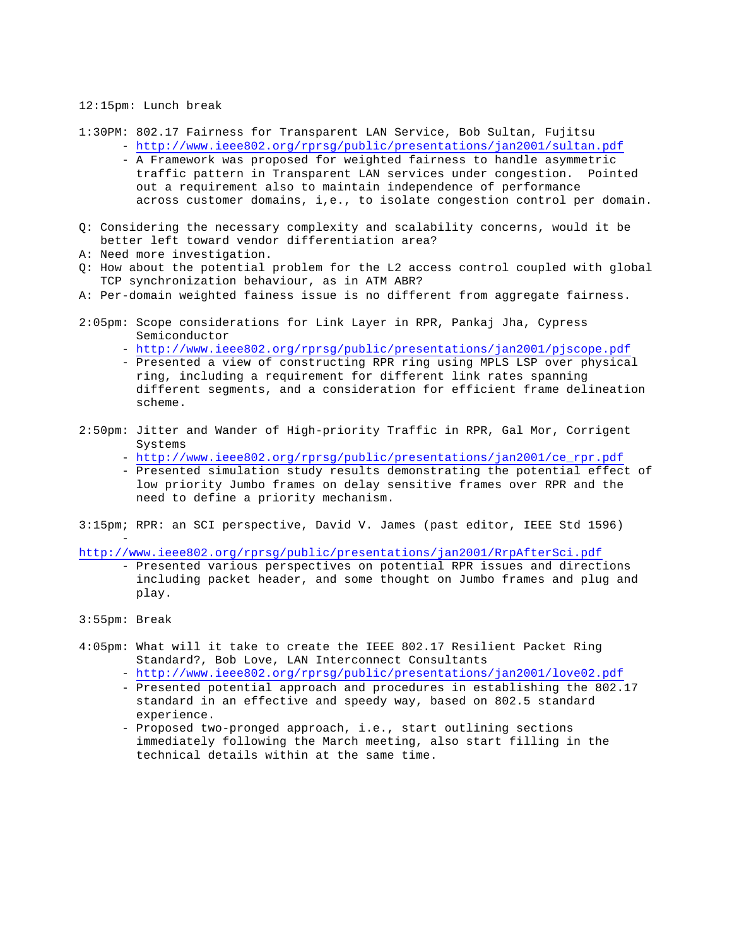#### 12:15pm: Lunch break

- 1:30PM: 802.17 Fairness for Transparent LAN Service, Bob Sultan, Fujitsu - http://www.ieee802.org/rprsg/public/presentations/jan2001/sultan.pdf
	- A Framework was proposed for weighted fairness to handle asymmetric traffic pattern in Transparent LAN services under congestion. Pointed out a requirement also to maintain independence of performance across customer domains, i,e., to isolate congestion control per domain.
- Q: Considering the necessary complexity and scalability concerns, would it be better left toward vendor differentiation area?
- A: Need more investigation.
- Q: How about the potential problem for the L2 access control coupled with global TCP synchronization behaviour, as in ATM ABR?
- A: Per-domain weighted fainess issue is no different from aggregate fairness.
- 2:05pm: Scope considerations for Link Layer in RPR, Pankaj Jha, Cypress Semiconductor
	- http://www.ieee802.org/rprsg/public/presentations/jan2001/pjscope.pdf
	- Presented a view of constructing RPR ring using MPLS LSP over physical ring, including a requirement for different link rates spanning different segments, and a consideration for efficient frame delineation scheme.
- 2:50pm: Jitter and Wander of High-priority Traffic in RPR, Gal Mor, Corrigent Systems
	- http://www.ieee802.org/rprsg/public/presentations/jan2001/ce\_rpr.pdf
	- Presented simulation study results demonstrating the potential effect of low priority Jumbo frames on delay sensitive frames over RPR and the need to define a priority mechanism.
- 3:15pm; RPR: an SCI perspective, David V. James (past editor, IEEE Std 1596)

http://www.ieee802.org/rprsg/public/presentations/jan2001/RrpAfterSci.pdf

- Presented various perspectives on potential RPR issues and directions including packet header, and some thought on Jumbo frames and plug and play.
- 3:55pm: Break

-

- 4:05pm: What will it take to create the IEEE 802.17 Resilient Packet Ring Standard?, Bob Love, LAN Interconnect Consultants
	- http://www.ieee802.org/rprsg/public/presentations/jan2001/love02.pdf
	- Presented potential approach and procedures in establishing the 802.17 standard in an effective and speedy way, based on 802.5 standard experience.
	- Proposed two-pronged approach, i.e., start outlining sections immediately following the March meeting, also start filling in the technical details within at the same time.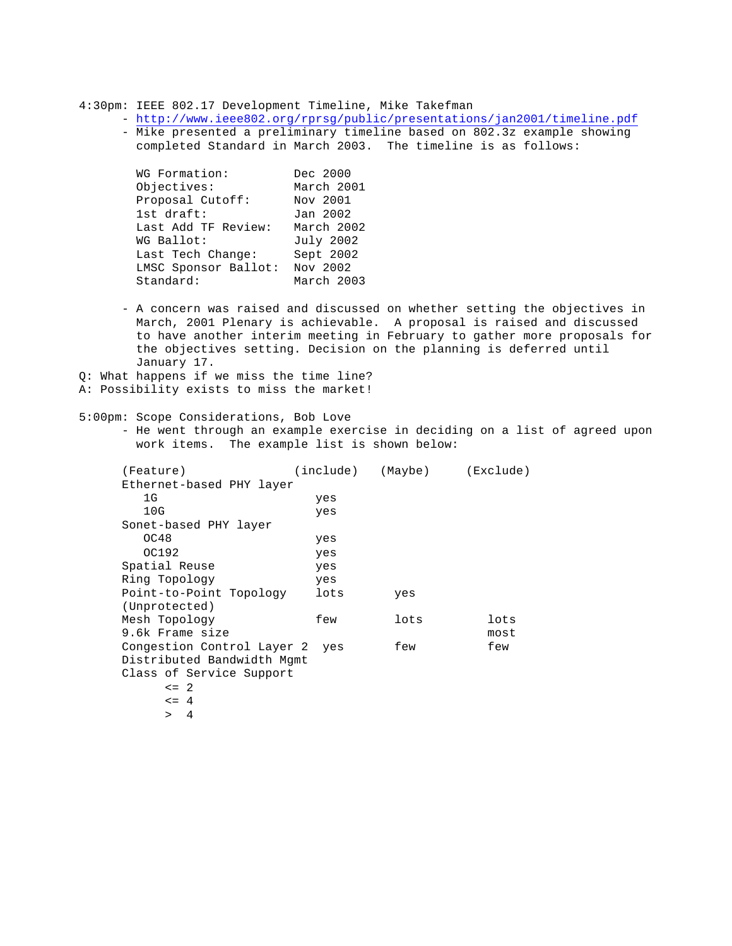4:30pm: IEEE 802.17 Development Timeline, Mike Takefman

- http://www.ieee802.org/rprsg/public/presentations/jan2001/timeline.pdf - Mike presented a preliminary timeline based on 802.3z example showing completed Standard in March 2003. The timeline is as follows:

| WG Formation:        | Dec 2000   |
|----------------------|------------|
| Objectives:          | March 2001 |
| Proposal Cutoff:     | Nov 2001   |
| 1st draft:           | Jan 2002   |
| Last Add TF Review:  | March 2002 |
| WG Ballot:           | July 2002  |
| Last Tech Change:    | Sept 2002  |
| LMSC Sponsor Ballot: | Nov 2002   |
| Standard:            | March 2003 |

- A concern was raised and discussed on whether setting the objectives in March, 2001 Plenary is achievable. A proposal is raised and discussed to have another interim meeting in February to gather more proposals for the objectives setting. Decision on the planning is deferred until January 17.
- Q: What happens if we miss the time line?
- A: Possibility exists to miss the market!
- 5:00pm: Scope Considerations, Bob Love
	- He went through an example exercise in deciding on a list of agreed upon work items. The example list is shown below:

| (Feature)                      |      | (include) (Maybe) | (Exclude) |
|--------------------------------|------|-------------------|-----------|
| Ethernet-based PHY layer       |      |                   |           |
| 1G                             | yes  |                   |           |
| 10G                            | yes  |                   |           |
| Sonet-based PHY layer          |      |                   |           |
| OC48                           | yes  |                   |           |
| OC192                          | yes  |                   |           |
| Spatial Reuse                  | yes  |                   |           |
| Ring Topology                  | yes  |                   |           |
| Point-to-Point Topology        | lots | yes               |           |
| (Unprotected)                  |      |                   |           |
| Mesh Topology                  | few  | lots              | lots      |
| 9.6k Frame size                |      |                   | most      |
| Congestion Control Layer 2 yes |      | few               | few       |
| Distributed Bandwidth Mgmt     |      |                   |           |
| Class of Service Support       |      |                   |           |
| $\leq$ 2.                      |      |                   |           |
| $\leq$ 4                       |      |                   |           |
|                                |      |                   |           |

> 4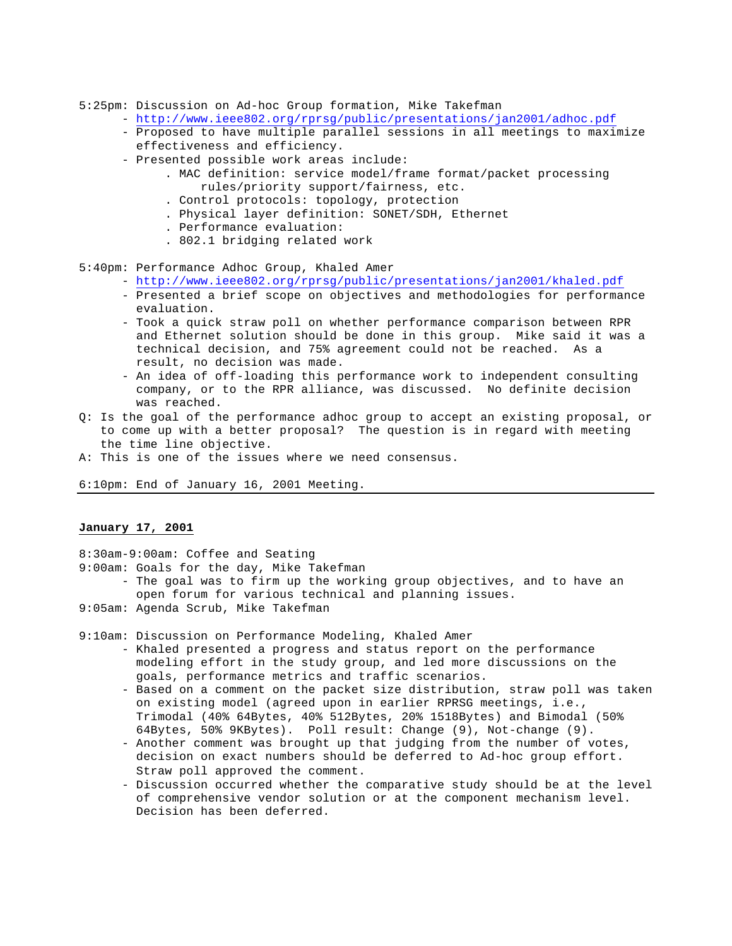- 5:25pm: Discussion on Ad-hoc Group formation, Mike Takefman
	- http://www.ieee802.org/rprsg/public/presentations/jan2001/adhoc.pdf
	- Proposed to have multiple parallel sessions in all meetings to maximize effectiveness and efficiency.
	- Presented possible work areas include:
		- . MAC definition: service model/frame format/packet processing rules/priority support/fairness, etc.
		- . Control protocols: topology, protection
		- . Physical layer definition: SONET/SDH, Ethernet
		- . Performance evaluation:
		- . 802.1 bridging related work
- 5:40pm: Performance Adhoc Group, Khaled Amer
	- http://www.ieee802.org/rprsg/public/presentations/jan2001/khaled.pdf
	- Presented a brief scope on objectives and methodologies for performance evaluation.
	- Took a quick straw poll on whether performance comparison between RPR and Ethernet solution should be done in this group. Mike said it was a technical decision, and 75% agreement could not be reached. As a result, no decision was made.
	- An idea of off-loading this performance work to independent consulting company, or to the RPR alliance, was discussed. No definite decision was reached.
- Q: Is the goal of the performance adhoc group to accept an existing proposal, or to come up with a better proposal? The question is in regard with meeting the time line objective.
- A: This is one of the issues where we need consensus.

6:10pm: End of January 16, 2001 Meeting.

### **January 17, 2001**

- 8:30am-9:00am: Coffee and Seating
- 9:00am: Goals for the day, Mike Takefman
	- The goal was to firm up the working group objectives, and to have an open forum for various technical and planning issues.
- 9:05am: Agenda Scrub, Mike Takefman

9:10am: Discussion on Performance Modeling, Khaled Amer

- Khaled presented a progress and status report on the performance modeling effort in the study group, and led more discussions on the goals, performance metrics and traffic scenarios.
- Based on a comment on the packet size distribution, straw poll was taken on existing model (agreed upon in earlier RPRSG meetings, i.e., Trimodal (40% 64Bytes, 40% 512Bytes, 20% 1518Bytes) and Bimodal (50% 64Bytes, 50% 9KBytes). Poll result: Change (9), Not-change (9).
- Another comment was brought up that judging from the number of votes, decision on exact numbers should be deferred to Ad-hoc group effort. Straw poll approved the comment.
- Discussion occurred whether the comparative study should be at the level of comprehensive vendor solution or at the component mechanism level. Decision has been deferred.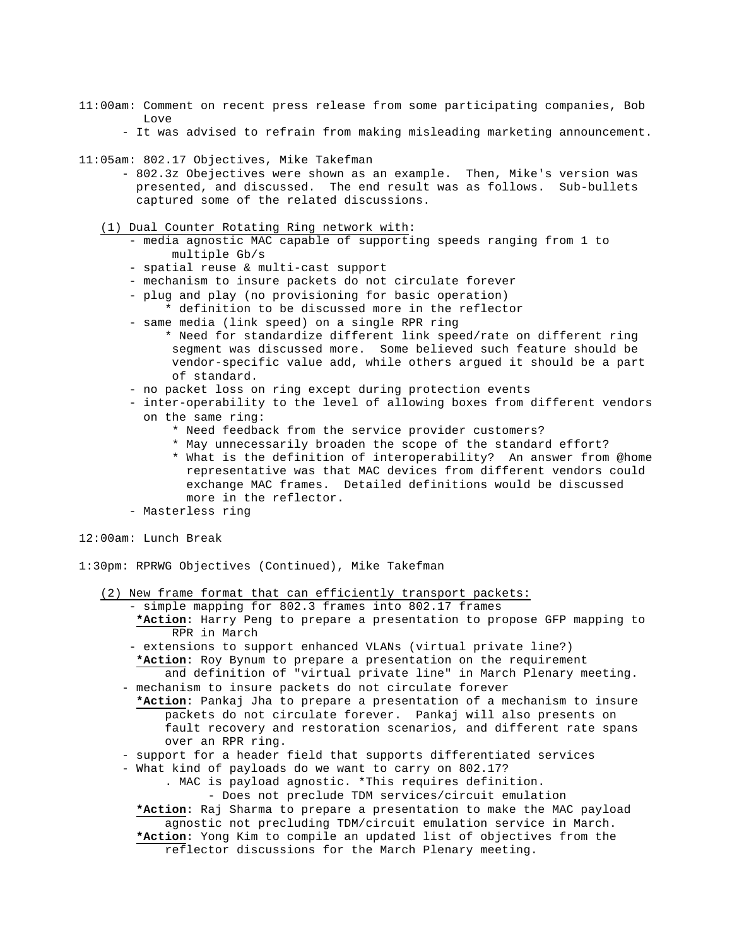- 11:00am: Comment on recent press release from some participating companies, Bob Love
	- It was advised to refrain from making misleading marketing announcement.
- 11:05am: 802.17 Objectives, Mike Takefman
	- 802.3z Obejectives were shown as an example. Then, Mike's version was presented, and discussed. The end result was as follows. Sub-bullets captured some of the related discussions.
	- (1) Dual Counter Rotating Ring network with:
		- media agnostic MAC capable of supporting speeds ranging from 1 to multiple Gb/s
		- spatial reuse & multi-cast support
		- mechanism to insure packets do not circulate forever
		- plug and play (no provisioning for basic operation)
		- \* definition to be discussed more in the reflector
		- same media (link speed) on a single RPR ring
			- \* Need for standardize different link speed/rate on different ring segment was discussed more. Some believed such feature should be vendor-specific value add, while others argued it should be a part of standard.
		- no packet loss on ring except during protection events
		- inter-operability to the level of allowing boxes from different vendors on the same ring:
			- \* Need feedback from the service provider customers?
			- \* May unnecessarily broaden the scope of the standard effort?
			- \* What is the definition of interoperability? An answer from @home representative was that MAC devices from different vendors could exchange MAC frames. Detailed definitions would be discussed more in the reflector.
		- Masterless ring
- 12:00am: Lunch Break
- 1:30pm: RPRWG Objectives (Continued), Mike Takefman
	- (2) New frame format that can efficiently transport packets:
		- simple mapping for 802.3 frames into 802.17 frames **\*Action**: Harry Peng to prepare a presentation to propose GFP mapping to RPR in March
		- extensions to support enhanced VLANs (virtual private line?)  **\*Action**: Roy Bynum to prepare a presentation on the requirement and definition of "virtual private line" in March Plenary meeting.
		- mechanism to insure packets do not circulate forever
		- **\*Action**: Pankaj Jha to prepare a presentation of a mechanism to insure packets do not circulate forever. Pankaj will also presents on fault recovery and restoration scenarios, and different rate spans over an RPR ring.
		- support for a header field that supports differentiated services
		- What kind of payloads do we want to carry on 802.17?
			- . MAC is payload agnostic. \*This requires definition.

- Does not preclude TDM services/circuit emulation

 **\*Action**: Raj Sharma to prepare a presentation to make the MAC payload agnostic not precluding TDM/circuit emulation service in March. **\*Action**: Yong Kim to compile an updated list of objectives from the reflector discussions for the March Plenary meeting.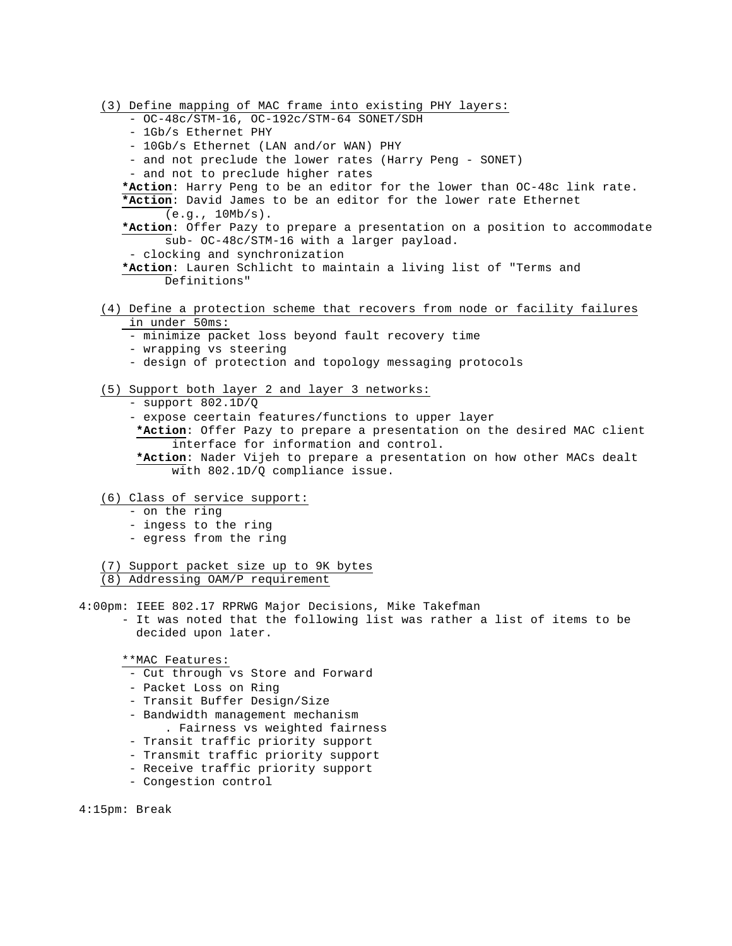(3) Define mapping of MAC frame into existing PHY layers: - OC-48c/STM-16, OC-192c/STM-64 SONET/SDH - 1Gb/s Ethernet PHY - 10Gb/s Ethernet (LAN and/or WAN) PHY - and not preclude the lower rates (Harry Peng - SONET) - and not to preclude higher rates **\*Action**: Harry Peng to be an editor for the lower than OC-48c link rate. **\*Action**: David James to be an editor for the lower rate Ethernet  $(e.q., 10Mb/s).$ **\*Action**: Offer Pazy to prepare a presentation on a position to accommodate sub- OC-48c/STM-16 with a larger payload. - clocking and synchronization **\*Action**: Lauren Schlicht to maintain a living list of "Terms and Definitions" (4) Define a protection scheme that recovers from node or facility failures in under 50ms: - minimize packet loss beyond fault recovery time - wrapping vs steering

- design of protection and topology messaging protocols
- (5) Support both layer 2 and layer 3 networks:
	- support 802.1D/Q
	- expose ceertain features/functions to upper layer
	- **\*Action**: Offer Pazy to prepare a presentation on the desired MAC client interface for information and control.
	- **\*Action**: Nader Vijeh to prepare a presentation on how other MACs dealt with 802.1D/Q compliance issue.
- (6) Class of service support:
	- on the ring
	- ingess to the ring
	- egress from the ring
- (7) Support packet size up to 9K bytes (8) Addressing OAM/P requirement
- 4:00pm: IEEE 802.17 RPRWG Major Decisions, Mike Takefman - It was noted that the following list was rather a list of items to be decided upon later.

\*\*MAC Features:

- Cut through vs Store and Forward
- Packet Loss on Ring
- Transit Buffer Design/Size
- Bandwidth management mechanism . Fairness vs weighted fairness
- Transit traffic priority support
- Transmit traffic priority support
- Receive traffic priority support
- Congestion control

4:15pm: Break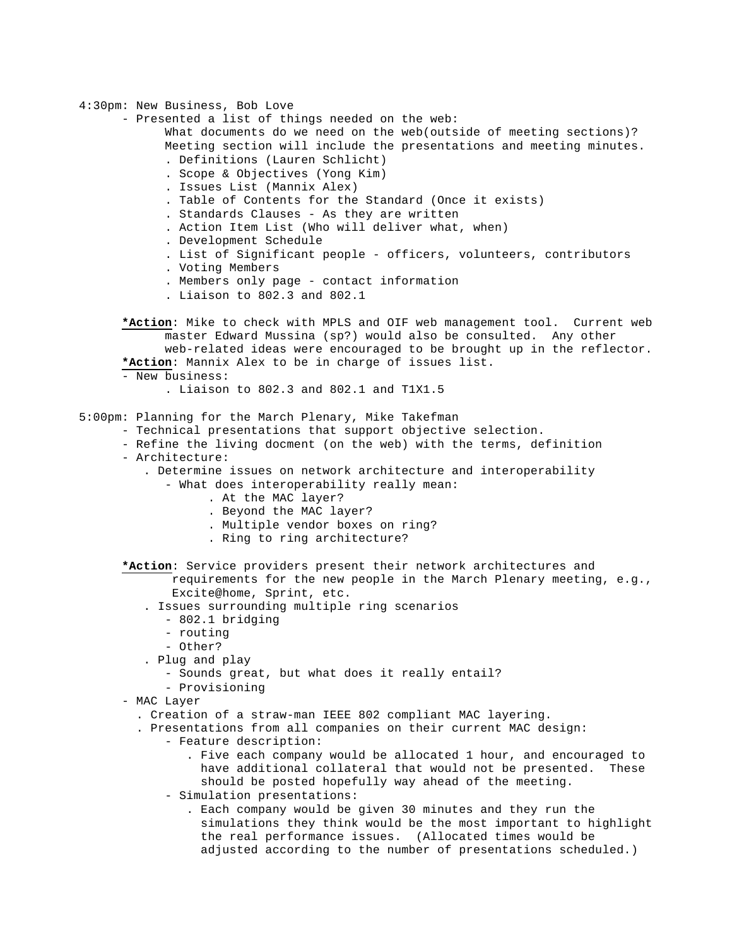4:30pm: New Business, Bob Love

- Presented a list of things needed on the web:
	- What documents do we need on the web(outside of meeting sections)? Meeting section will include the presentations and meeting minutes.
		- . Definitions (Lauren Schlicht)
		- . Scope & Objectives (Yong Kim)
		- . Issues List (Mannix Alex)
		- . Table of Contents for the Standard (Once it exists)
		- . Standards Clauses As they are written
		- . Action Item List (Who will deliver what, when)
		- . Development Schedule
		- . List of Significant people officers, volunteers, contributors
		- . Voting Members
		- . Members only page contact information
		- . Liaison to 802.3 and 802.1
- **\*Action**: Mike to check with MPLS and OIF web management tool. Current web master Edward Mussina (sp?) would also be consulted. Any other web-related ideas were encouraged to be brought up in the reflector. **\*Action**: Mannix Alex to be in charge of issues list.
- New business:
	- . Liaison to 802.3 and 802.1 and T1X1.5
- 5:00pm: Planning for the March Plenary, Mike Takefman
	- Technical presentations that support objective selection.
	- Refine the living docment (on the web) with the terms, definition
	- Architecture:
		- . Determine issues on network architecture and interoperability
			- What does interoperability really mean:
				- . At the MAC layer?
				- . Beyond the MAC layer?
				- . Multiple vendor boxes on ring?
				- . Ring to ring architecture?
	- **\*Action**: Service providers present their network architectures and
		- requirements for the new people in the March Plenary meeting, e.g., Excite@home, Sprint, etc.
		- . Issues surrounding multiple ring scenarios
			- 802.1 bridging
			- routing
			- Other?
		- . Plug and play
			- Sounds great, but what does it really entail?
			- Provisioning
	- MAC Layer
		- . Creation of a straw-man IEEE 802 compliant MAC layering.
		- . Presentations from all companies on their current MAC design:
			- Feature description:
				- . Five each company would be allocated 1 hour, and encouraged to have additional collateral that would not be presented. These should be posted hopefully way ahead of the meeting.
			- Simulation presentations:
				- . Each company would be given 30 minutes and they run the simulations they think would be the most important to highlight the real performance issues. (Allocated times would be adjusted according to the number of presentations scheduled.)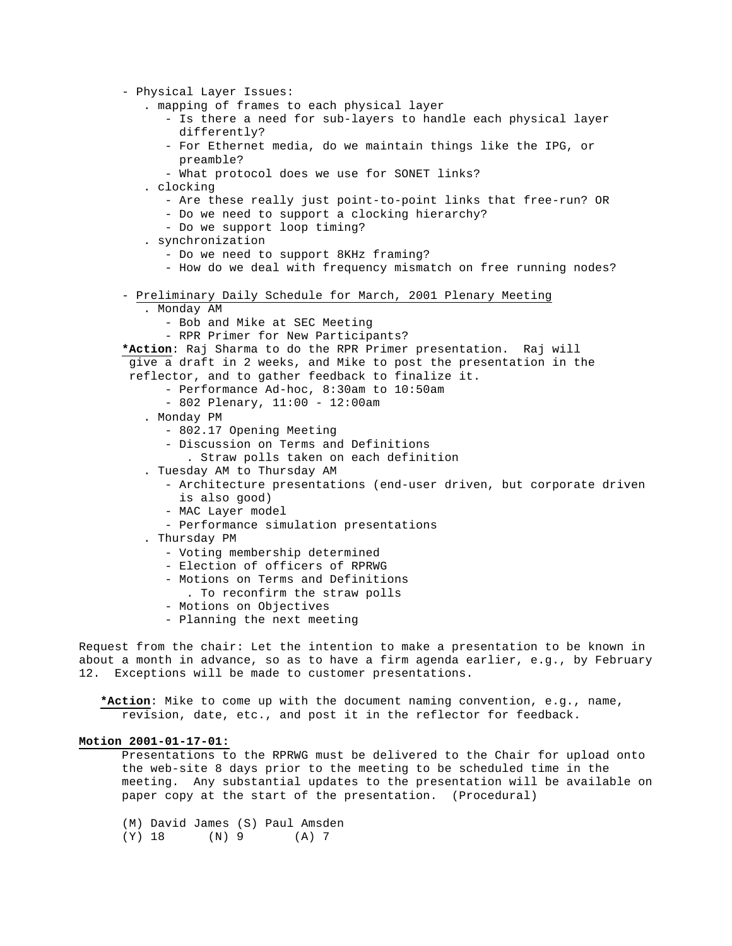```
- Physical Layer Issues:
          . mapping of frames to each physical layer
            - Is there a need for sub-layers to handle each physical layer
               differently?
            - For Ethernet media, do we maintain things like the IPG, or 
               preamble?
            - What protocol does we use for SONET links?
          . clocking
            - Are these really just point-to-point links that free-run? OR
            - Do we need to support a clocking hierarchy?
            - Do we support loop timing?
          . synchronization
            - Do we need to support 8KHz framing?
            - How do we deal with frequency mismatch on free running nodes?
      - Preliminary Daily Schedule for March, 2001 Plenary Meeting
          . Monday AM
            - Bob and Mike at SEC Meeting
            - RPR Primer for New Participants?
      *Action: Raj Sharma to do the RPR Primer presentation. Raj will
        give a draft in 2 weeks, and Mike to post the presentation in the
        reflector, and to gather feedback to finalize it.
            - Performance Ad-hoc, 8:30am to 10:50am
            - 802 Plenary, 11:00 - 12:00am
          . Monday PM
            - 802.17 Opening Meeting
            - Discussion on Terms and Definitions
                . Straw polls taken on each definition
          . Tuesday AM to Thursday AM
            - Architecture presentations (end-user driven, but corporate driven
               is also good)
            - MAC Layer model
            - Performance simulation presentations
          . Thursday PM
            - Voting membership determined
            - Election of officers of RPRWG
            - Motions on Terms and Definitions
                . To reconfirm the straw polls
            - Motions on Objectives
            - Planning the next meeting
Request from the chair: Let the intention to make a presentation to be known in
```
about a month in advance, so as to have a firm agenda earlier, e.g., by February 12. Exceptions will be made to customer presentations.

 **\*Action**: Mike to come up with the document naming convention, e.g., name, revision, date, etc., and post it in the reflector for feedback.

### **Motion 2001-01-17-01:**

Presentations to the RPRWG must be delivered to the Chair for upload onto the web-site 8 days prior to the meeting to be scheduled time in the meeting. Any substantial updates to the presentation will be available on paper copy at the start of the presentation. (Procedural)

(M) David James (S) Paul Amsden (Y) 18 (N) 9 (A) 7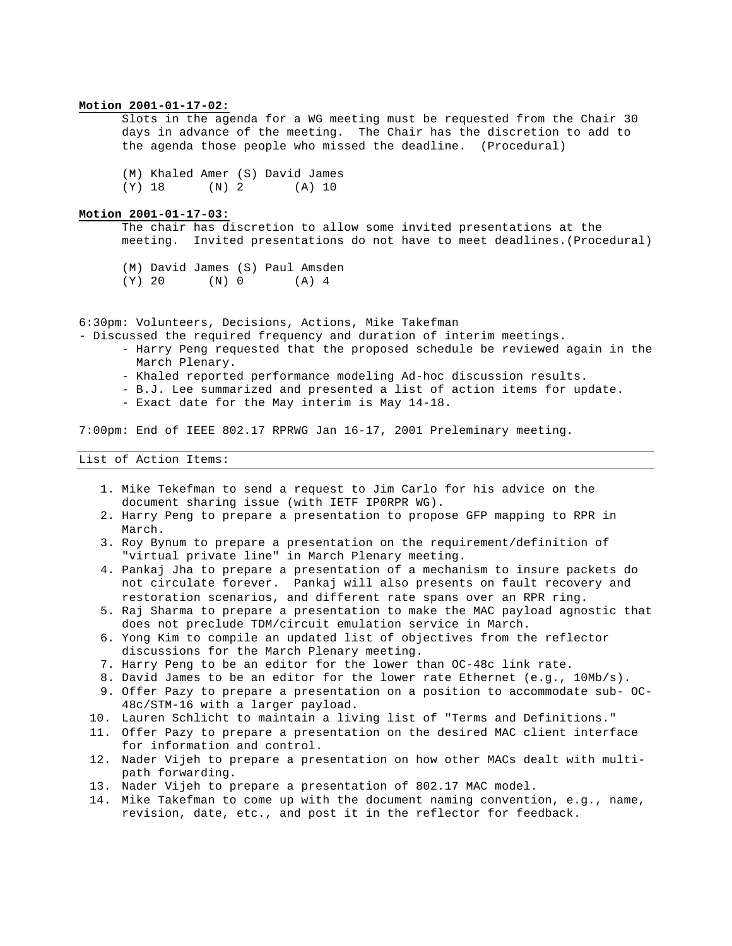#### **Motion 2001-01-17-02:**

Slots in the agenda for a WG meeting must be requested from the Chair 30 days in advance of the meeting. The Chair has the discretion to add to the agenda those people who missed the deadline. (Procedural)

(M) Khaled Amer (S) David James (Y) 18 (N) 2 (A) 10

# **Motion 2001-01-17-03:**

The chair has discretion to allow some invited presentations at the meeting. Invited presentations do not have to meet deadlines.(Procedural)

(M) David James (S) Paul Amsden (Y) 20 (N) 0 (A) 4

6:30pm: Volunteers, Decisions, Actions, Mike Takefman

- Discussed the required frequency and duration of interim meetings.

- Harry Peng requested that the proposed schedule be reviewed again in the March Plenary.
- Khaled reported performance modeling Ad-hoc discussion results.
- B.J. Lee summarized and presented a list of action items for update.
- Exact date for the May interim is May 14-18.

7:00pm: End of IEEE 802.17 RPRWG Jan 16-17, 2001 Preleminary meeting.

### List of Action Items:

- 1. Mike Tekefman to send a request to Jim Carlo for his advice on the document sharing issue (with IETF IP0RPR WG).
- 2. Harry Peng to prepare a presentation to propose GFP mapping to RPR in March.
- 3. Roy Bynum to prepare a presentation on the requirement/definition of "virtual private line" in March Plenary meeting.
- 4. Pankaj Jha to prepare a presentation of a mechanism to insure packets do not circulate forever. Pankaj will also presents on fault recovery and restoration scenarios, and different rate spans over an RPR ring.
- 5. Raj Sharma to prepare a presentation to make the MAC payload agnostic that does not preclude TDM/circuit emulation service in March.
- 6. Yong Kim to compile an updated list of objectives from the reflector discussions for the March Plenary meeting.
- 7. Harry Peng to be an editor for the lower than OC-48c link rate.
- 8. David James to be an editor for the lower rate Ethernet (e.g., 10Mb/s).
- 9. Offer Pazy to prepare a presentation on a position to accommodate sub- OC-48c/STM-16 with a larger payload.
- 10. Lauren Schlicht to maintain a living list of "Terms and Definitions."
- 11. Offer Pazy to prepare a presentation on the desired MAC client interface for information and control.
- 12. Nader Vijeh to prepare a presentation on how other MACs dealt with multipath forwarding.
- 13. Nader Vijeh to prepare a presentation of 802.17 MAC model.
- 14. Mike Takefman to come up with the document naming convention, e.g., name, revision, date, etc., and post it in the reflector for feedback.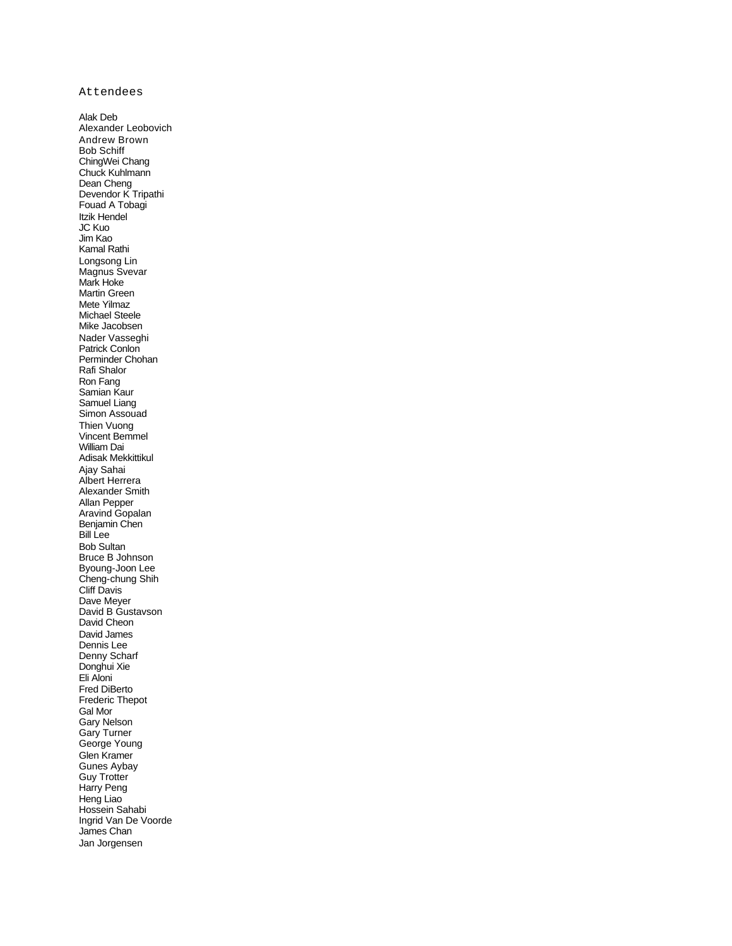Attendees

Alak Deb Alexander Leobovich Andrew Brown Bob Schiff ChingWei Chang Chuck Kuhlmann Dean Cheng Devendor K Tripathi Fouad A Tobagi Itzik Hendel JC Kuo Jim Kao Kamal Rathi Longsong Lin Magnus Svevar Mark Hoke Martin Green Mete Yilmaz Michael Steele Mike Jacobsen Nader Vasseghi Patrick Conlon Perminder Chohan Rafi Shalor Ron Fang Samian Kaur Samuel Liang Simon Assouad Thien Vuong Vincent Bemmel William Dai Adisak Mekkittikul Ajay Sahai Albert Herrera Alexander Smith Allan Pepper Aravind Gopalan Benjamin Chen Bill Lee Bob Sultan Bruce B Johnson Byoung-Joon Lee Cheng-chung Shih Cliff Davis Dave Meyer David B Gustavson David Cheon David James Dennis Lee Denny Scharf Donghui Xie Eli Aloni Fred DiBerto Frederic Thepot Gal Mor Gary Nelson Gary Turner George Young Glen Kramer Gunes Aybay Guy Trotter Harry Peng Heng Liao Hossein Sahabi Ingrid Van De Voorde James Chan Jan Jorgensen